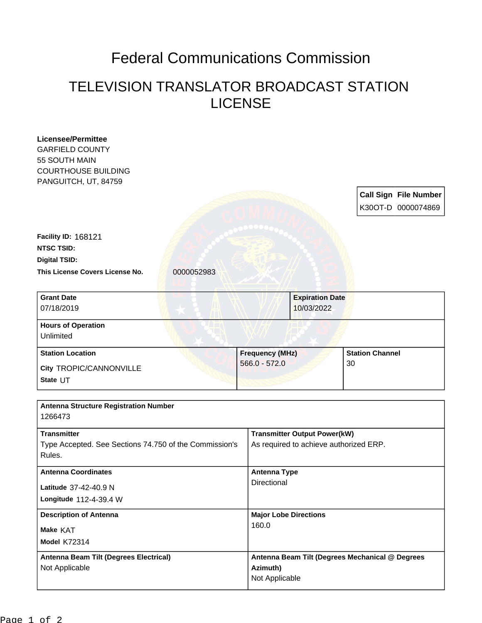## Federal Communications Commission

## TELEVISION TRANSLATOR BROADCAST STATION LICENSE

| <b>Licensee/Permittee</b>                              |            |                        |                                                                               |    |                              |  |
|--------------------------------------------------------|------------|------------------------|-------------------------------------------------------------------------------|----|------------------------------|--|
| <b>GARFIELD COUNTY</b>                                 |            |                        |                                                                               |    |                              |  |
| 55 SOUTH MAIN                                          |            |                        |                                                                               |    |                              |  |
| <b>COURTHOUSE BUILDING</b>                             |            |                        |                                                                               |    |                              |  |
| PANGUITCH, UT, 84759                                   |            |                        |                                                                               |    |                              |  |
|                                                        |            |                        |                                                                               |    | <b>Call Sign File Number</b> |  |
|                                                        |            |                        |                                                                               |    | K30OT-D 0000074869           |  |
|                                                        |            |                        |                                                                               |    |                              |  |
| Facility ID: 168121                                    |            |                        |                                                                               |    |                              |  |
| <b>NTSC TSID:</b>                                      |            |                        |                                                                               |    |                              |  |
| <b>Digital TSID:</b>                                   |            |                        |                                                                               |    |                              |  |
| This License Covers License No.                        | 0000052983 |                        |                                                                               |    |                              |  |
|                                                        |            |                        |                                                                               |    |                              |  |
| <b>Grant Date</b>                                      |            |                        | <b>Expiration Date</b>                                                        |    |                              |  |
| 07/18/2019                                             |            |                        | 10/03/2022                                                                    |    |                              |  |
| <b>Hours of Operation</b>                              |            |                        |                                                                               |    |                              |  |
| Unlimited                                              |            |                        |                                                                               |    |                              |  |
|                                                        |            |                        |                                                                               |    |                              |  |
| <b>Station Location</b>                                |            | <b>Frequency (MHz)</b> |                                                                               |    | <b>Station Channel</b>       |  |
| City TROPIC/CANNONVILLE                                |            | $566.0 - 572.0$        |                                                                               | 30 |                              |  |
| State UT                                               |            |                        |                                                                               |    |                              |  |
|                                                        |            |                        |                                                                               |    |                              |  |
| <b>Antenna Structure Registration Number</b>           |            |                        |                                                                               |    |                              |  |
| 1266473                                                |            |                        |                                                                               |    |                              |  |
| <b>Transmitter</b>                                     |            |                        |                                                                               |    |                              |  |
| Type Accepted. See Sections 74.750 of the Commission's |            |                        | <b>Transmitter Output Power(kW)</b><br>As required to achieve authorized ERP. |    |                              |  |
| Rules.                                                 |            |                        |                                                                               |    |                              |  |
|                                                        |            |                        |                                                                               |    |                              |  |
| <b>Antenna Coordinates</b>                             |            | Directional            | <b>Antenna Type</b>                                                           |    |                              |  |
| Latitude 37-42-40.9 N                                  |            |                        |                                                                               |    |                              |  |
| Longitude 112-4-39.4 W                                 |            |                        |                                                                               |    |                              |  |
| <b>Description of Antenna</b><br>Make KAT              |            |                        | <b>Major Lobe Directions</b><br>160.0                                         |    |                              |  |
|                                                        |            |                        |                                                                               |    |                              |  |
| Model K72314                                           |            |                        |                                                                               |    |                              |  |
| Antenna Beam Tilt (Degrees Electrical)                 |            |                        | Antenna Beam Tilt (Degrees Mechanical @ Degrees                               |    |                              |  |
| Not Applicable                                         |            |                        | Azimuth)                                                                      |    |                              |  |
|                                                        |            |                        |                                                                               |    |                              |  |
|                                                        |            | Not Applicable         |                                                                               |    |                              |  |